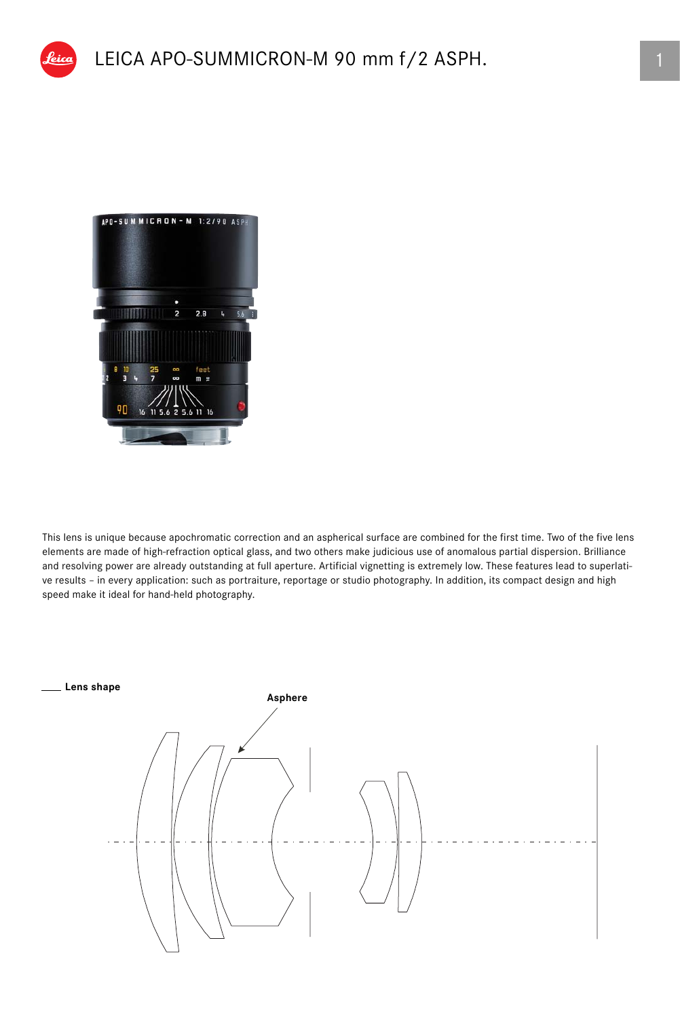

This lens is unique because apochromatic correction and an aspherical surface are combined for the first time. Two of the five lens elements are made of high-refraction optical glass, and two others make judicious use of anomalous partial dispersion. Brilliance and resolving power are already outstanding at full aperture. Artificial vignetting is extremely low. These features lead to superlative results – in every application: such as portraiture, reportage or studio photography. In addition, its compact design and high speed make it ideal for hand-held photography.

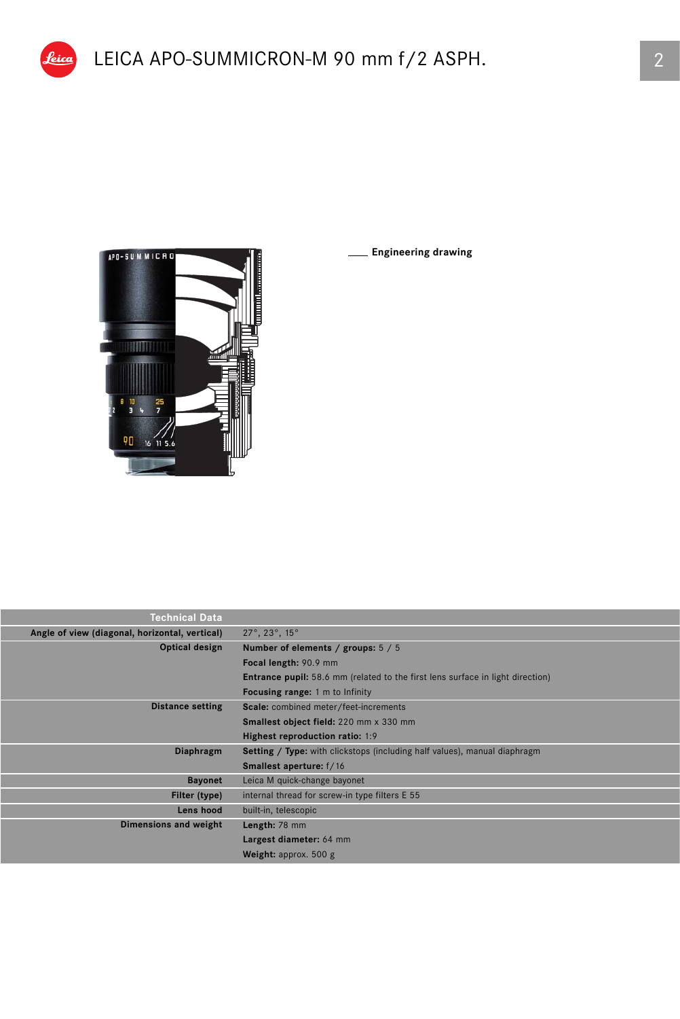

eica |

I

**Engineering drawing**

| <b>Technical Data</b>                                            |                                                                                       |  |  |  |  |
|------------------------------------------------------------------|---------------------------------------------------------------------------------------|--|--|--|--|
| Angle of view (diagonal, horizontal, vertical)                   | $27^\circ$ , $23^\circ$ , $15^\circ$                                                  |  |  |  |  |
| Optical design                                                   | Number of elements / groups: 5 / 5                                                    |  |  |  |  |
|                                                                  | Focal length: 90.9 mm                                                                 |  |  |  |  |
|                                                                  | <b>Entrance pupil:</b> 58.6 mm (related to the first lens surface in light direction) |  |  |  |  |
|                                                                  | <b>Focusing range:</b> 1 m to Infinity                                                |  |  |  |  |
| Scale: combined meter/feet-increments<br><b>Distance setting</b> |                                                                                       |  |  |  |  |
|                                                                  | Smallest object field: 220 mm x 330 mm                                                |  |  |  |  |
|                                                                  | Highest reproduction ratio: 1:9                                                       |  |  |  |  |
| Diaphragm                                                        | <b>Setting / Type:</b> with clickstops (including half values), manual diaphragm      |  |  |  |  |
|                                                                  | <b>Smallest aperture:</b> f/16                                                        |  |  |  |  |
| <b>Bayonet</b>                                                   | Leica M quick-change bayonet                                                          |  |  |  |  |
| Filter (type)                                                    | internal thread for screw-in type filters E 55                                        |  |  |  |  |
| Lens hood                                                        | built-in, telescopic                                                                  |  |  |  |  |
| Dimensions and weight                                            | Length: 78 mm                                                                         |  |  |  |  |
|                                                                  | Largest diameter: 64 mm                                                               |  |  |  |  |
|                                                                  | <b>Weight:</b> approx. $500 g$                                                        |  |  |  |  |
|                                                                  |                                                                                       |  |  |  |  |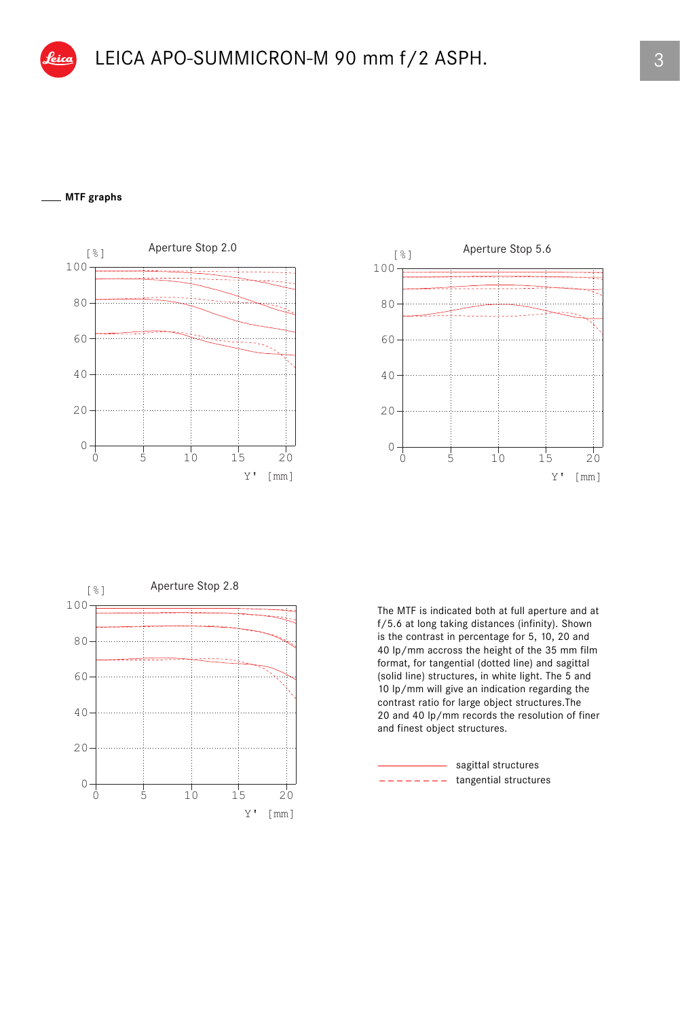## **MTF graphs**







The MTF is indicated both at full aperture and at f/5.6 at long taking distances (infinity). Shown is the contrast in percentage for 5, 10, 20 and 40 lp/mm accross the height of the 35 mm film format, for tangential (dotted line) and sagittal (solid line) structures, in white light. The 5 and 10 lp/mm will give an indication regarding the contrast ratio for large object structures.The 20 and 40 lp/mm records the resolution of finer and finest object structures.

tangential structures sagittal structures \_ \_ \_ \_ \_ \_ \_ \_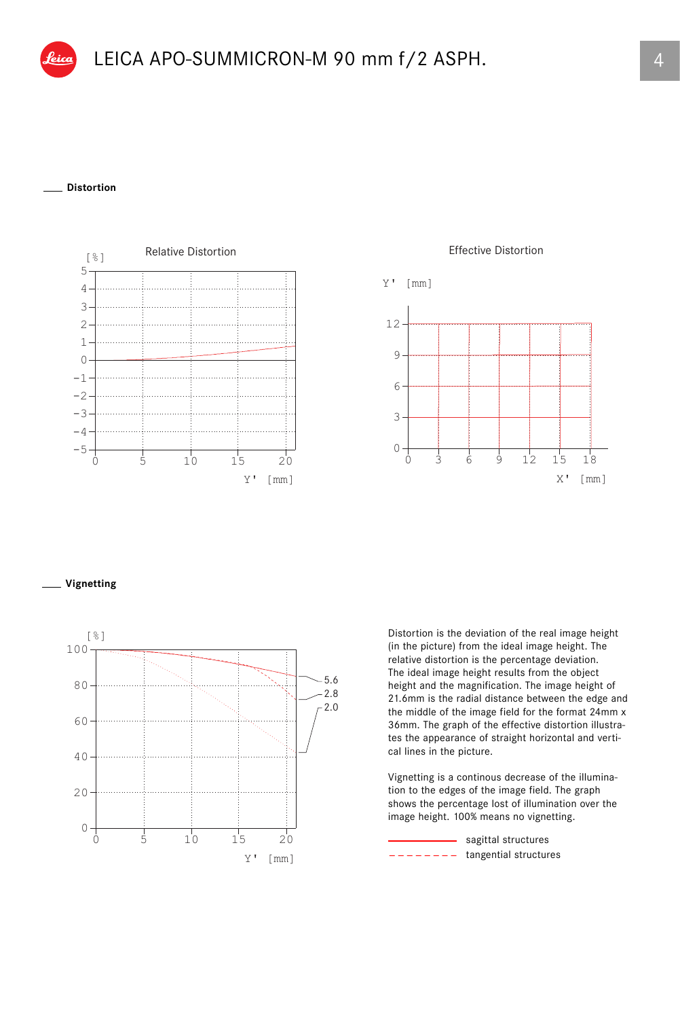## **Distortion**



Effective Distortion



## **Vignetting**



Distortion is the deviation of the real image height (in the picture) from the ideal image height. The relative distortion is the percentage deviation. The ideal image height results from the object height and the magnification. The image height of 21.6mm is the radial distance between the edge and the middle of the image field for the format 24mm x 36mm. The graph of the effective distortion illustrates the appearance of straight horizontal and vertical lines in the picture.

Vignetting is a continous decrease of the illumination to the edges of the image field. The graph shows the percentage lost of illumination over the image height. 100% means no vignetting.

tangential structures sagittal structures \_ \_ \_ \_ \_ \_ \_ \_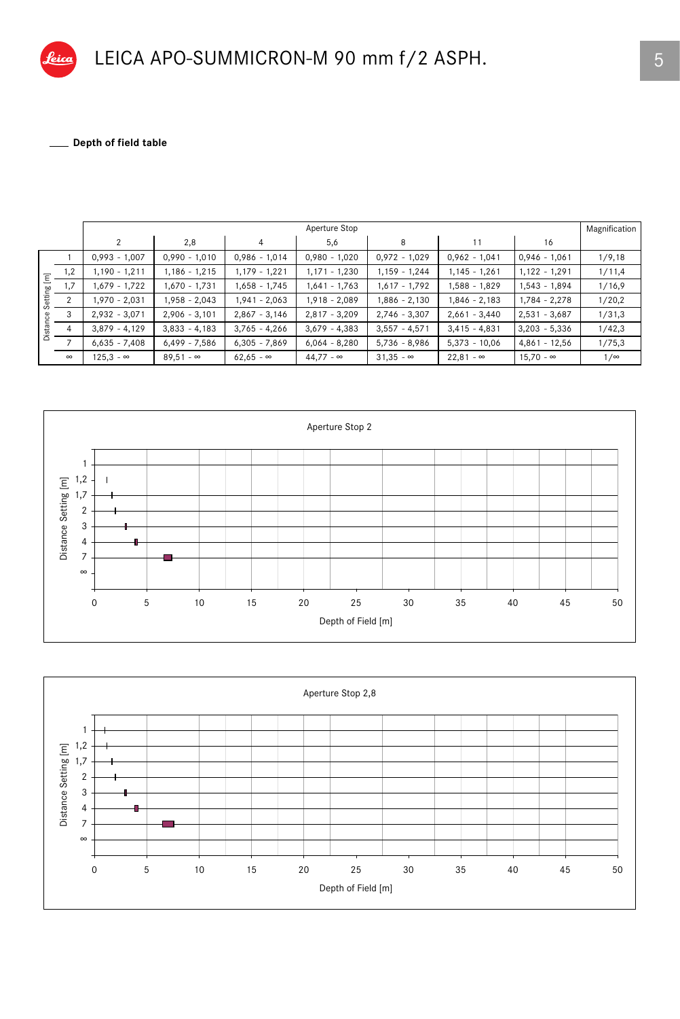Depth of field table 

|                                     |                | Aperture Stop    |                  |                  |                  |                  |                  |                  |            |
|-------------------------------------|----------------|------------------|------------------|------------------|------------------|------------------|------------------|------------------|------------|
|                                     |                | 2                | 2,8              | $\overline{4}$   | 5,6              | 8                | 11               | 16               |            |
| Ξ<br>œ<br>Settir<br>g<br>stai<br>ڦة |                | $0,993 - 1,007$  | $0,990 - 1,010$  | $0,986 - 1,014$  | $0,980 - 1,020$  | $0,972 - 1,029$  | $0,962 - 1,041$  | $0,946 - 1,061$  | 1/9,18     |
|                                     | 1,2            | $1,190 - 1,211$  | $1,186 - 1,215$  | 1,179 - 1,221    | $1,171 - 1,230$  | $1,159 - 1,244$  | $1,145 - 1,261$  | $1,122 - 1,291$  | 1/11,4     |
|                                     | 1,7            | $1,679 - 1,722$  | 1,670 - 1,731    | 1,658 - 1,745    | $1,641 - 1,763$  | $1,617 - 1,792$  | $1,588 - 1,829$  | 1,543 - 1,894    | 1/16,9     |
|                                     | $\overline{2}$ | 1,970 - 2,031    | 1,958 - 2,043    | 1,941 - 2,063    | $1,918 - 2,089$  | 1,886 - 2,130    | $1,846 - 2,183$  | $1,784 - 2,278$  | 1/20,2     |
|                                     | 3              | $2,932 - 3,071$  | $2,906 - 3,101$  | $2,867 - 3,146$  | $2,817 - 3,209$  | $2,746 - 3,307$  | $2,661 - 3,440$  | $2,531 - 3,687$  | 1/31,3     |
|                                     | 4              | $3,879 - 4,129$  | $3,833 - 4,183$  | $3,765 - 4,266$  | $3,679 - 4,383$  | $3,557 - 4,571$  | $3,415 - 4,831$  | $3,203 - 5,336$  | 1/42,3     |
|                                     |                | $6,635 - 7,408$  | $6,499 - 7,586$  | $6,305 - 7,869$  | $6,064 - 8,280$  | $5,736 - 8,986$  | $5,373 - 10,06$  | $4,861 - 12,56$  | 1/75,3     |
|                                     | $\infty$       | $125.3 - \infty$ | $89.51 - \infty$ | $62.65 - \infty$ | $44.77 - \infty$ | $31.35 - \infty$ | $22,81 - \infty$ | $15.70 - \infty$ | $1/\infty$ |



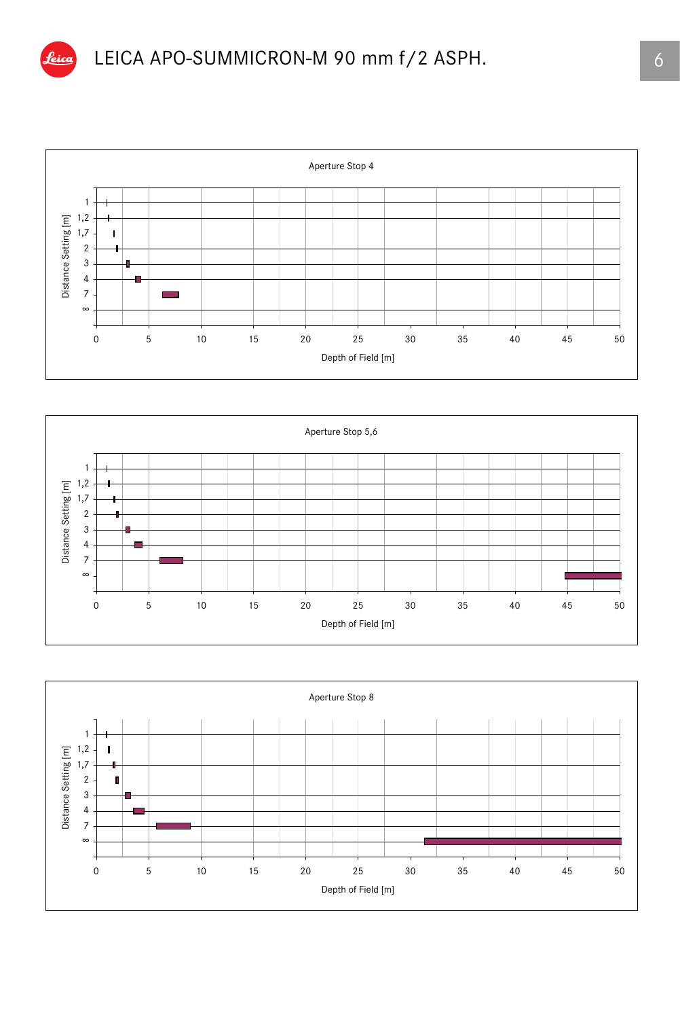